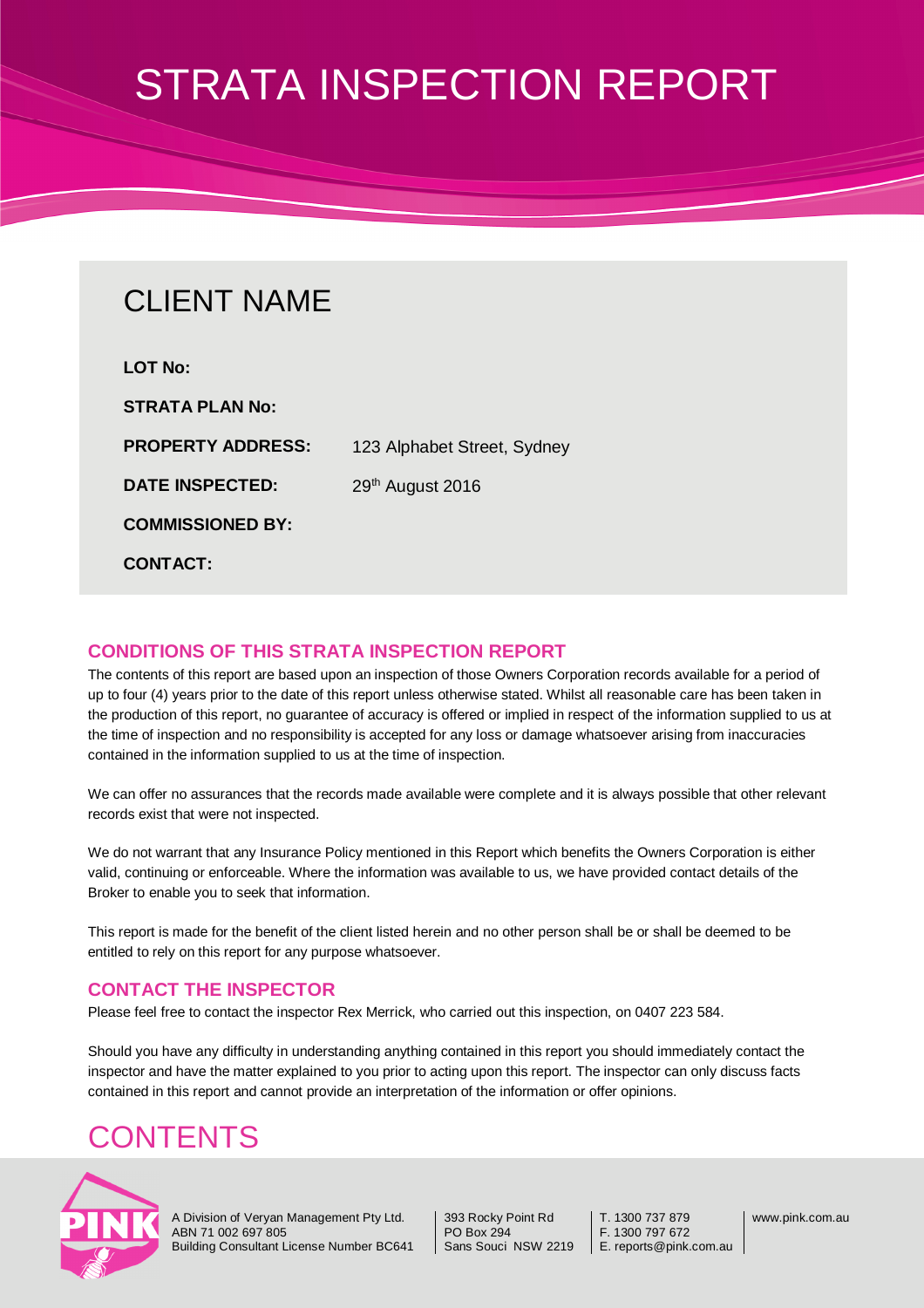## CLIENT NAME

| <b>LOT No:</b>           |                             |
|--------------------------|-----------------------------|
| <b>STRATA PLAN No:</b>   |                             |
| <b>PROPERTY ADDRESS:</b> | 123 Alphabet Street, Sydney |
| <b>DATE INSPECTED:</b>   | 29th August 2016            |
| <b>COMMISSIONED BY:</b>  |                             |
| <b>CONTACT:</b>          |                             |

#### **CONDITIONS OF THIS STRATA INSPECTION REPORT**

The contents of this report are based upon an inspection of those Owners Corporation records available for a period of up to four (4) years prior to the date of this report unless otherwise stated. Whilst all reasonable care has been taken in the production of this report, no guarantee of accuracy is offered or implied in respect of the information supplied to us at the time of inspection and no responsibility is accepted for any loss or damage whatsoever arising from inaccuracies contained in the information supplied to us at the time of inspection.

We can offer no assurances that the records made available were complete and it is always possible that other relevant records exist that were not inspected.

We do not warrant that any Insurance Policy mentioned in this Report which benefits the Owners Corporation is either valid, continuing or enforceable. Where the information was available to us, we have provided contact details of the Broker to enable you to seek that information.

This report is made for the benefit of the client listed herein and no other person shall be or shall be deemed to be entitled to rely on this report for any purpose whatsoever.

#### **CONTACT THE INSPECTOR**

Please feel free to contact the inspector Rex Merrick, who carried out this inspection, on 0407 223 584.

Should you have any difficulty in understanding anything contained in this report you should immediately contact the inspector and have the matter explained to you prior to acting upon this report. The inspector can only discuss facts contained in this report and cannot provide an interpretation of the information or offer opinions.

### **CONTENTS**



A Division of Veryan Management Pty Ltd. ABN 71 002 697 805 Building Consultant License Number BC641 393 Rocky Point Rd PO Box 294 Sans Souci NSW 2219

T. 1300 737 879 F. 1300 797 672 E. reports@pink.com.au www.pink.com.au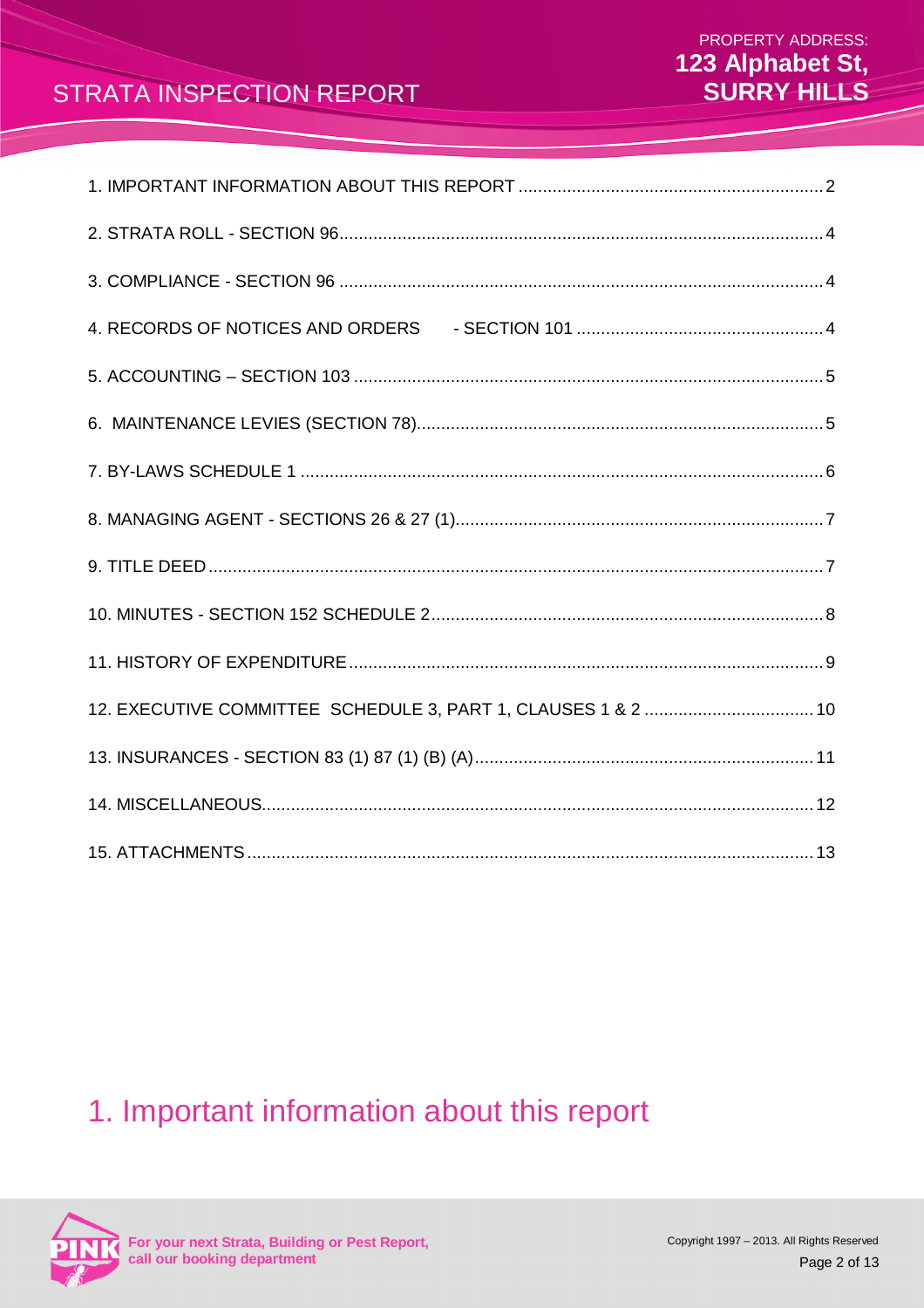### 1. Important information about this report

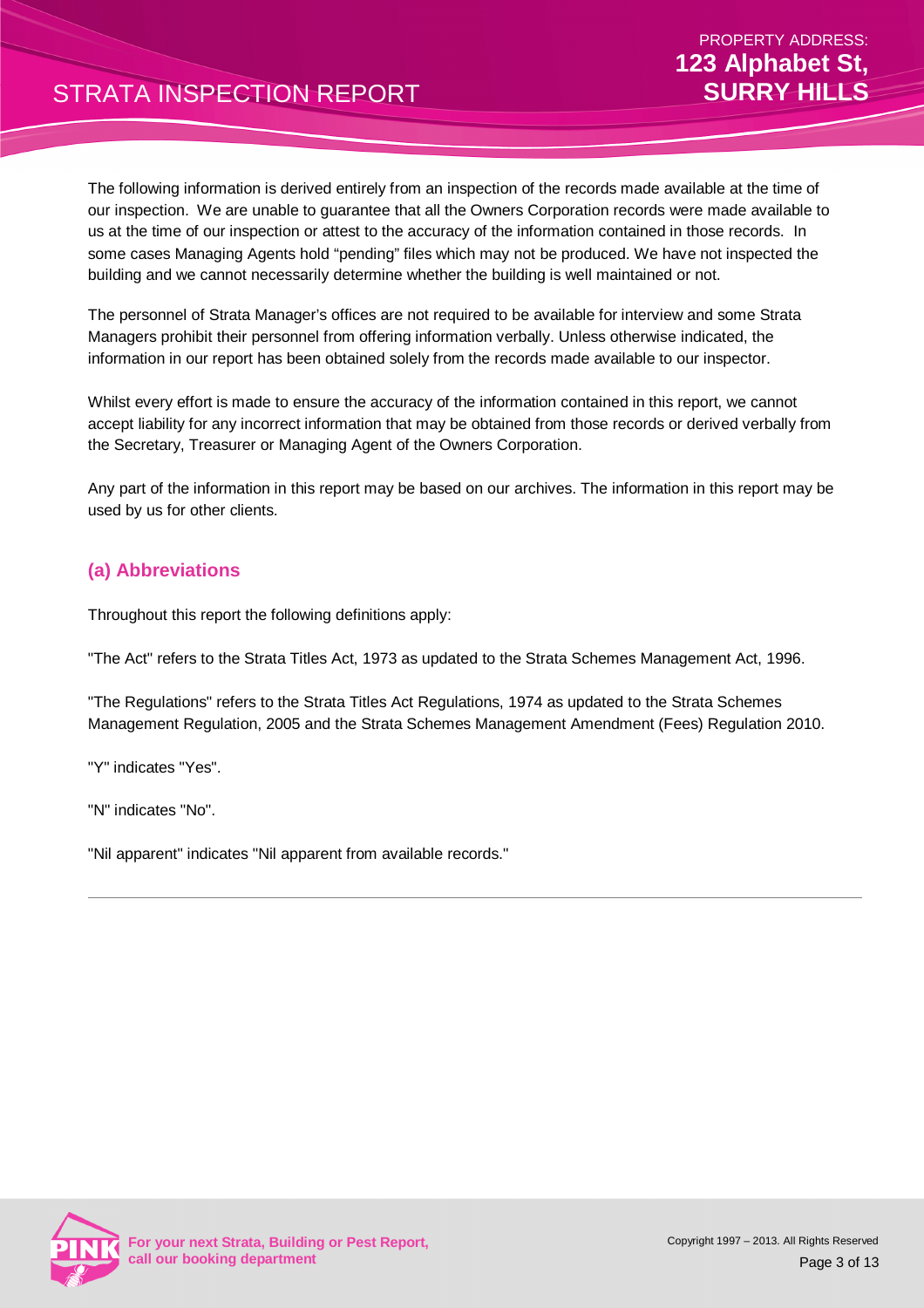The following information is derived entirely from an inspection of the records made available at the time of our inspection. We are unable to guarantee that all the Owners Corporation records were made available to us at the time of our inspection or attest to the accuracy of the information contained in those records. In some cases Managing Agents hold "pending" files which may not be produced. We have not inspected the building and we cannot necessarily determine whether the building is well maintained or not.

The personnel of Strata Manager's offices are not required to be available for interview and some Strata Managers prohibit their personnel from offering information verbally. Unless otherwise indicated, the information in our report has been obtained solely from the records made available to our inspector.

Whilst every effort is made to ensure the accuracy of the information contained in this report, we cannot accept liability for any incorrect information that may be obtained from those records or derived verbally from the Secretary, Treasurer or Managing Agent of the Owners Corporation.

Any part of the information in this report may be based on our archives. The information in this report may be used by us for other clients.

#### **(a) Abbreviations**

Throughout this report the following definitions apply:

"The Act" refers to the Strata Titles Act, 1973 as updated to the Strata Schemes Management Act, 1996.

"The Regulations" refers to the Strata Titles Act Regulations, 1974 as updated to the Strata Schemes Management Regulation, 2005 and the Strata Schemes Management Amendment (Fees) Regulation 2010.

"Y" indicates "Yes".

"N" indicates "No".

"Nil apparent" indicates "Nil apparent from available records."

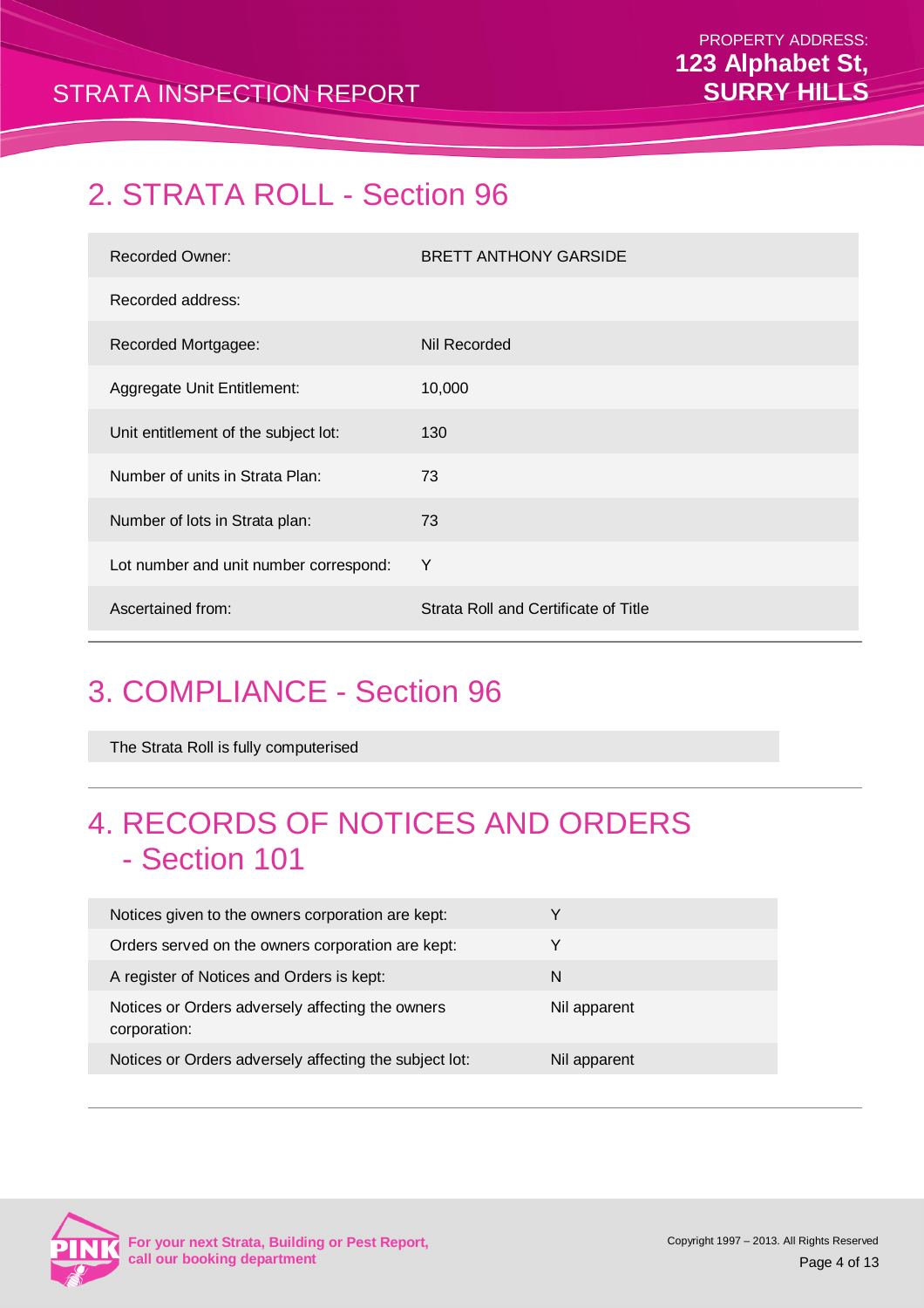### 2. STRATA ROLL - Section 96

| <b>Recorded Owner:</b>                 | <b>BRETT ANTHONY GARSIDE</b>         |
|----------------------------------------|--------------------------------------|
| Recorded address:                      |                                      |
| Recorded Mortgagee:                    | Nil Recorded                         |
| Aggregate Unit Entitlement:            | 10,000                               |
| Unit entitlement of the subject lot:   | 130                                  |
| Number of units in Strata Plan:        | 73                                   |
| Number of lots in Strata plan:         | 73                                   |
| Lot number and unit number correspond: | Y                                    |
| Ascertained from:                      | Strata Roll and Certificate of Title |

# 3. COMPLIANCE - Section 96

The Strata Roll is fully computerised

### 4. RECORDS OF NOTICES AND ORDERS - Section 101

| Notices given to the owners corporation are kept:                |              |
|------------------------------------------------------------------|--------------|
| Orders served on the owners corporation are kept:                | v            |
| A register of Notices and Orders is kept:                        | N            |
| Notices or Orders adversely affecting the owners<br>corporation: | Nil apparent |
| Notices or Orders adversely affecting the subject lot:           | Nil apparent |

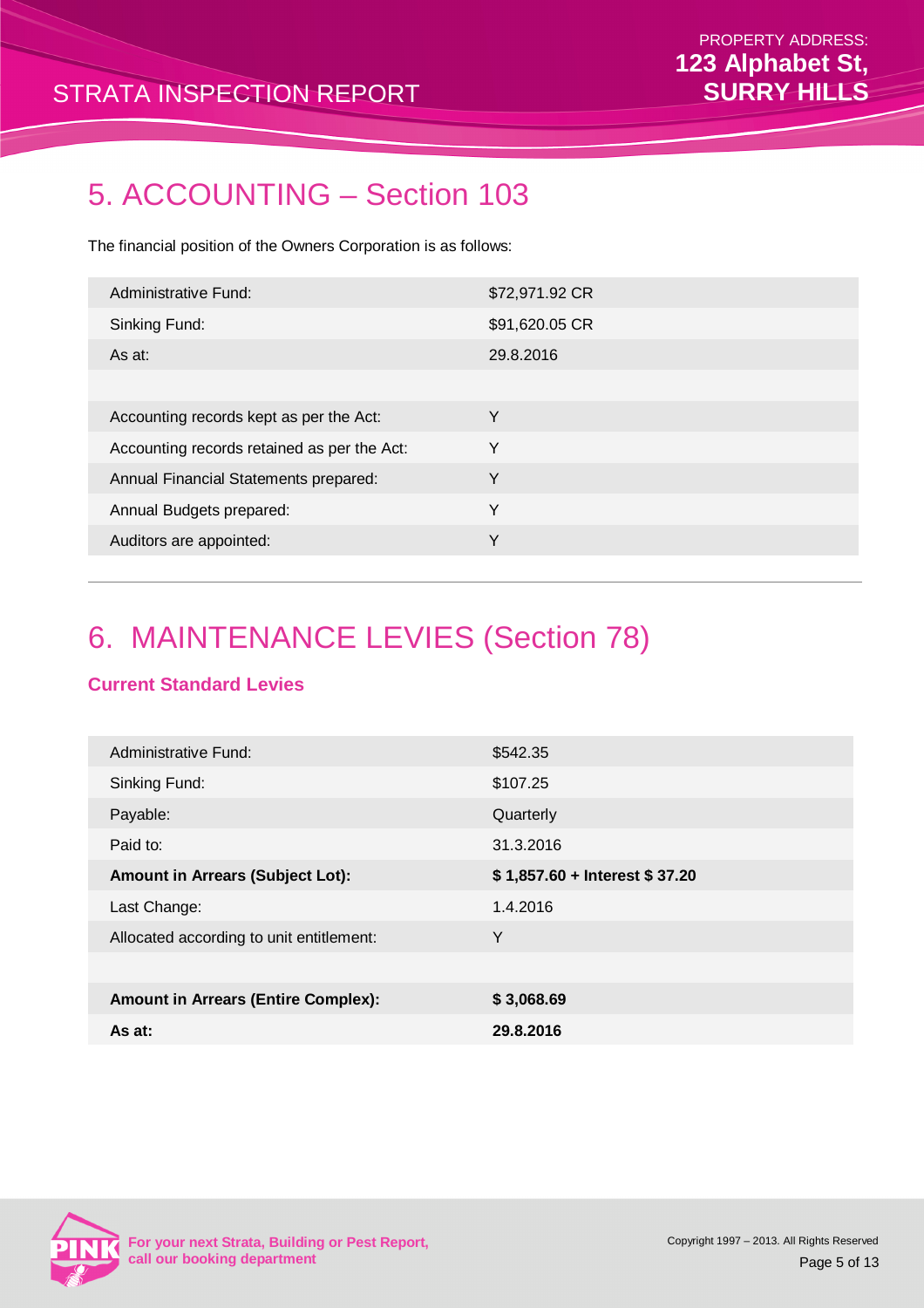### 5. ACCOUNTING – Section 103

The financial position of the Owners Corporation is as follows:

| Administrative Fund:                        | \$72,971.92 CR |
|---------------------------------------------|----------------|
| Sinking Fund:                               | \$91,620.05 CR |
| As at:                                      | 29.8.2016      |
|                                             |                |
| Accounting records kept as per the Act:     | Y              |
| Accounting records retained as per the Act: | Y              |
| Annual Financial Statements prepared:       | Y              |
| Annual Budgets prepared:                    | Y              |
| Auditors are appointed:                     | Y              |
|                                             |                |

# 6. MAINTENANCE LEVIES (Section 78)

#### **Current Standard Levies**

| Administrative Fund:                       | \$542.35                      |
|--------------------------------------------|-------------------------------|
| Sinking Fund:                              | \$107.25                      |
| Payable:                                   | Quarterly                     |
| Paid to:                                   | 31.3.2016                     |
| <b>Amount in Arrears (Subject Lot):</b>    | \$1,857.60 + Interest \$37.20 |
| Last Change:                               | 1.4.2016                      |
| Allocated according to unit entitlement:   | Y                             |
|                                            |                               |
| <b>Amount in Arrears (Entire Complex):</b> | \$3,068.69                    |
| As at:                                     | 29.8.2016                     |

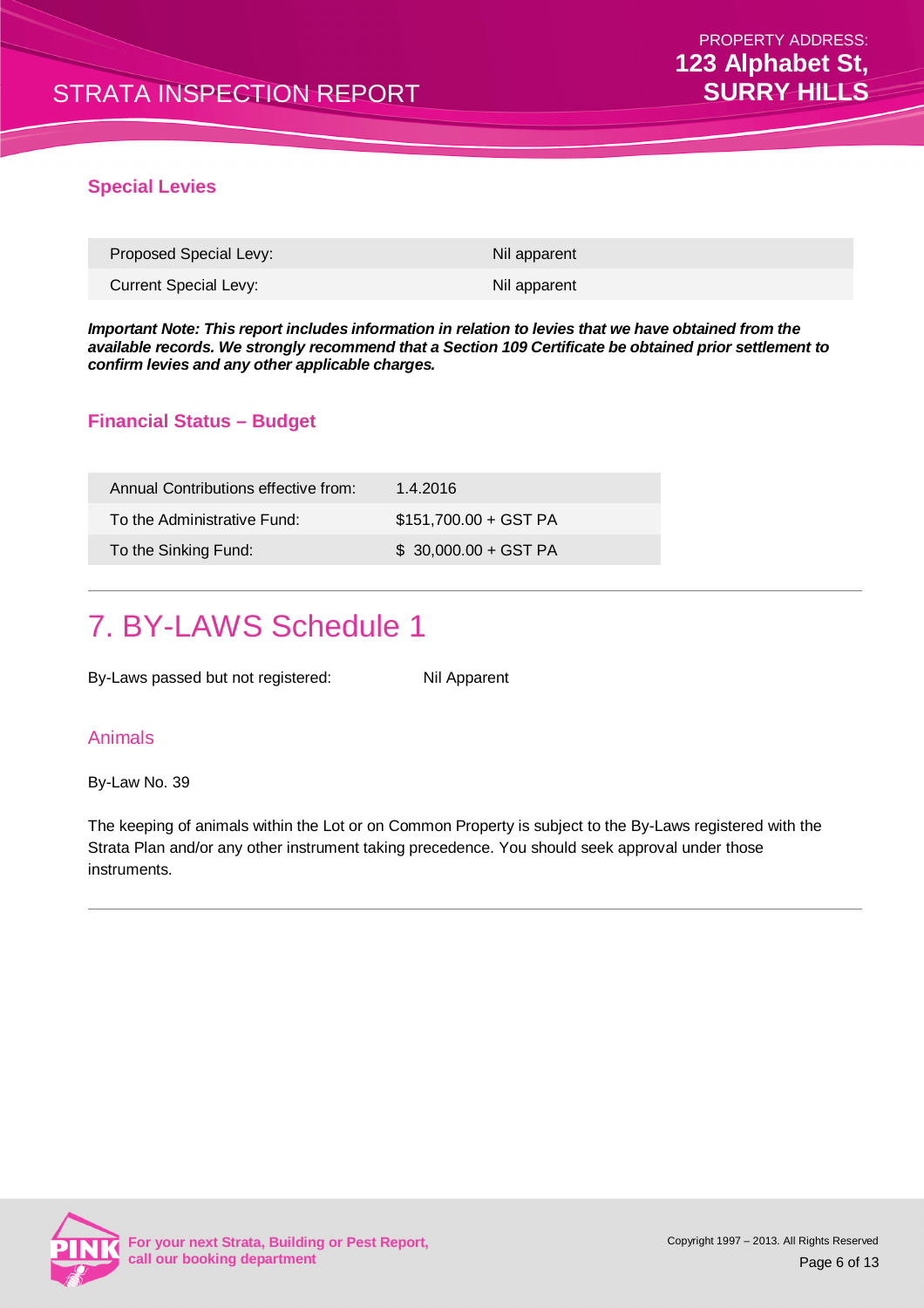#### **Special Levies**

| Proposed Special Levy: | Nil apparent |
|------------------------|--------------|
| Current Special Levy:  | Nil apparent |

**Important Note: This report includes information in relation to levies that we have obtained from the available records. We strongly recommend that a Section 109 Certificate be obtained prior settlement to confirm levies and any other applicable charges.**

#### **Financial Status – Budget**

| Annual Contributions effective from: | 1.4.2016              |
|--------------------------------------|-----------------------|
| To the Administrative Fund:          | \$151,700.00 + GST PA |
| To the Sinking Fund:                 | $$30,000.00 + GST PA$ |

### 7. BY-LAWS Schedule 1

By-Laws passed but not registered: Nil Apparent

#### Animals

By-Law No. 39

The keeping of animals within the Lot or on Common Property is subject to the By-Laws registered with the Strata Plan and/or any other instrument taking precedence. You should seek approval under those instruments.

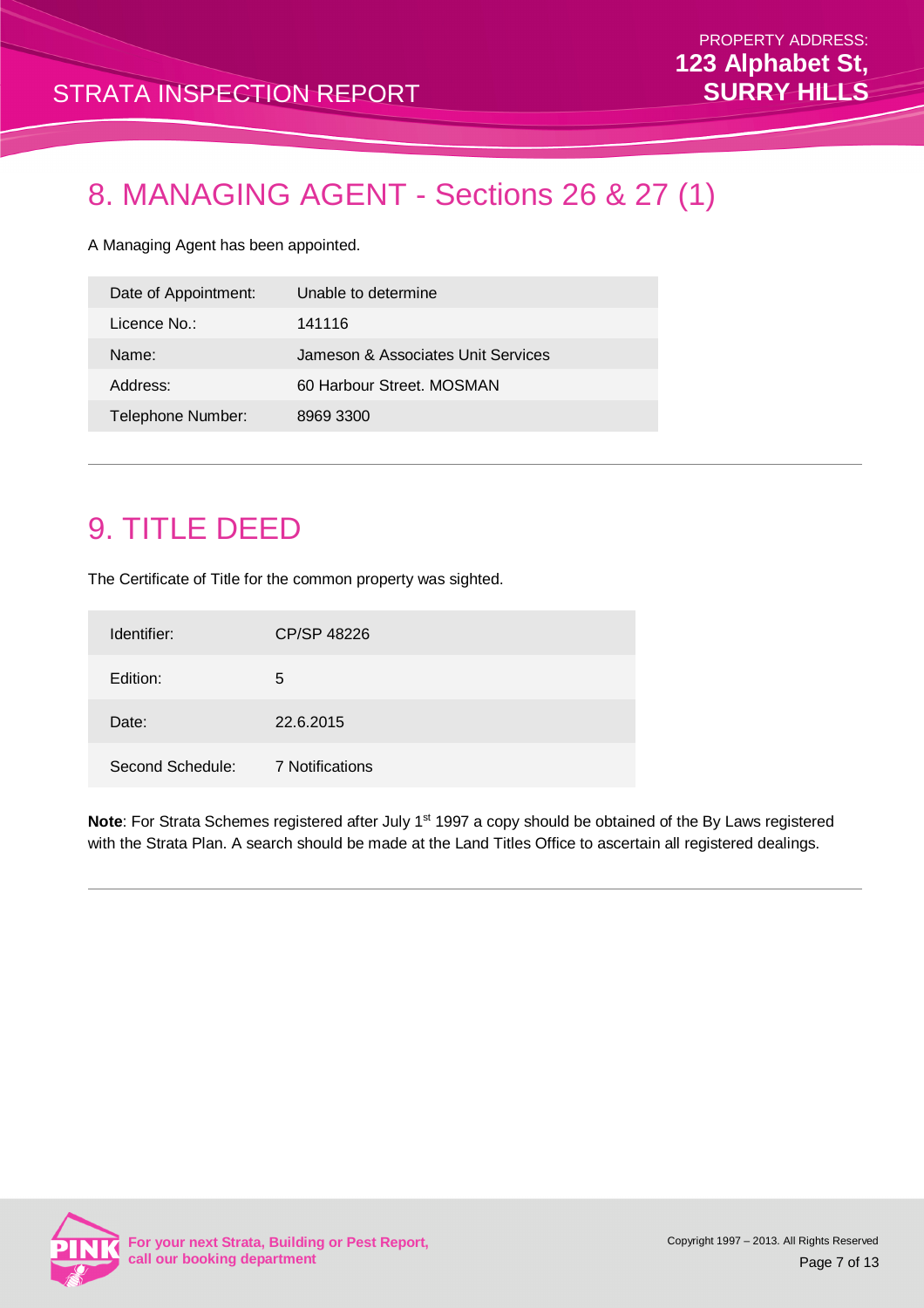# 8. MANAGING AGENT - Sections 26 & 27 (1)

A Managing Agent has been appointed.

| Date of Appointment: | Unable to determine                |
|----------------------|------------------------------------|
| Licence No.:         | 141116                             |
| Name:                | Jameson & Associates Unit Services |
| Address:             | 60 Harbour Street, MOSMAN          |
| Telephone Number:    | 8969 3300                          |

### 9. TITLE DEED

The Certificate of Title for the common property was sighted.

| Identifier:      | CP/SP 48226     |
|------------------|-----------------|
| Edition:         | 5               |
| Date:            | 22.6.2015       |
| Second Schedule: | 7 Notifications |

Note: For Strata Schemes registered after July 1<sup>st</sup> 1997 a copy should be obtained of the By Laws registered with the Strata Plan. A search should be made at the Land Titles Office to ascertain all registered dealings.

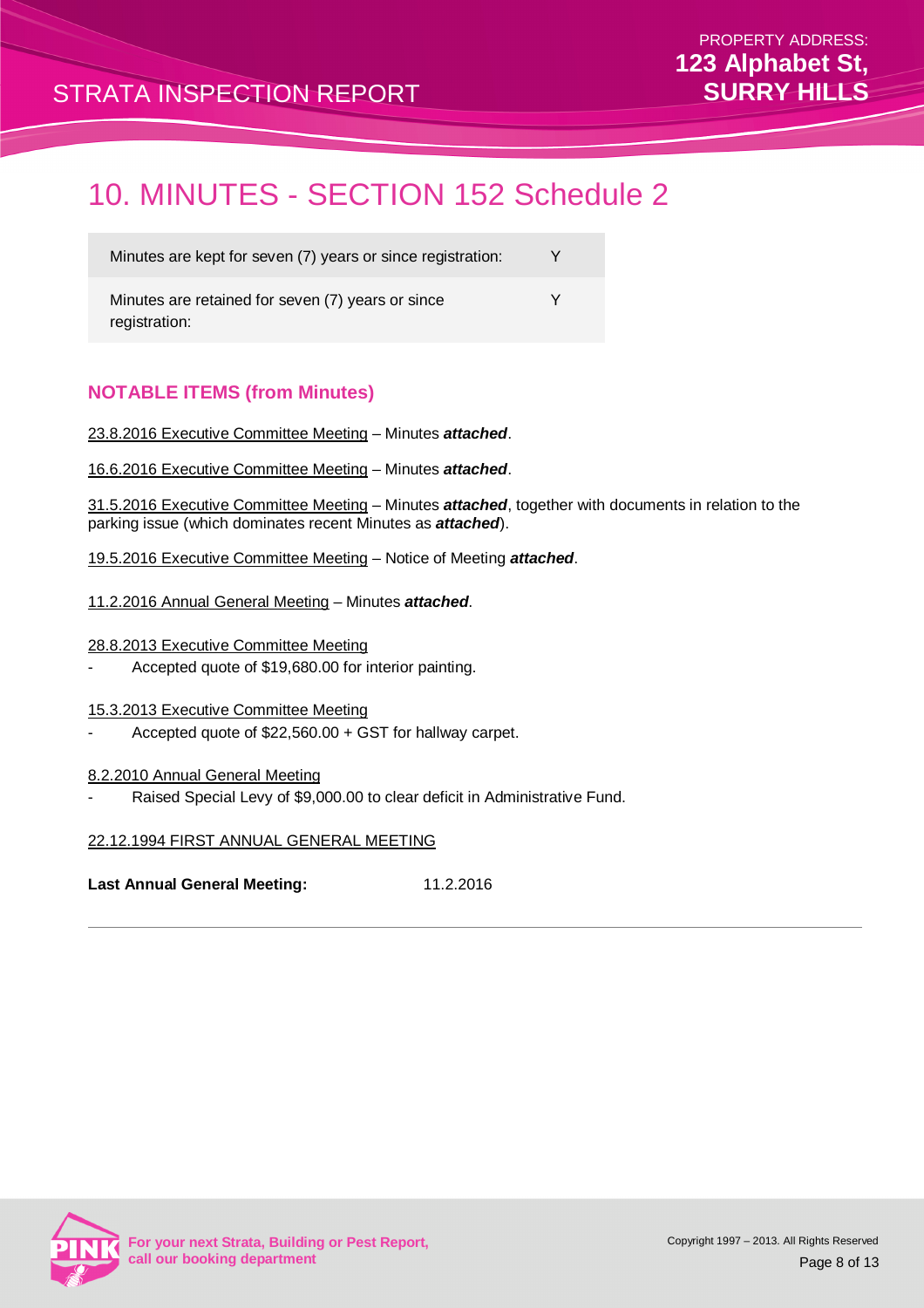### 10. MINUTES - SECTION 152 Schedule 2

Minutes are kept for seven (7) years or since registration: Y Minutes are retained for seven (7) years or since registration: Y

#### **NOTABLE ITEMS (from Minutes)**

23.8.2016 Executive Committee Meeting – Minutes **attached**.

16.6.2016 Executive Committee Meeting – Minutes **attached**.

31.5.2016 Executive Committee Meeting – Minutes **attached**, together with documents in relation to the parking issue (which dominates recent Minutes as **attached**).

- 19.5.2016 Executive Committee Meeting Notice of Meeting **attached**.
- 11.2.2016 Annual General Meeting Minutes **attached**.
- 28.8.2013 Executive Committee Meeting
- Accepted quote of \$19,680.00 for interior painting.

#### 15.3.2013 Executive Committee Meeting

- Accepted quote of \$22,560.00 + GST for hallway carpet.

#### 8.2.2010 Annual General Meeting

Raised Special Levy of \$9,000.00 to clear deficit in Administrative Fund.

#### 22.12.1994 FIRST ANNUAL GENERAL MEETING

**Last Annual General Meeting:** 11.2.2016

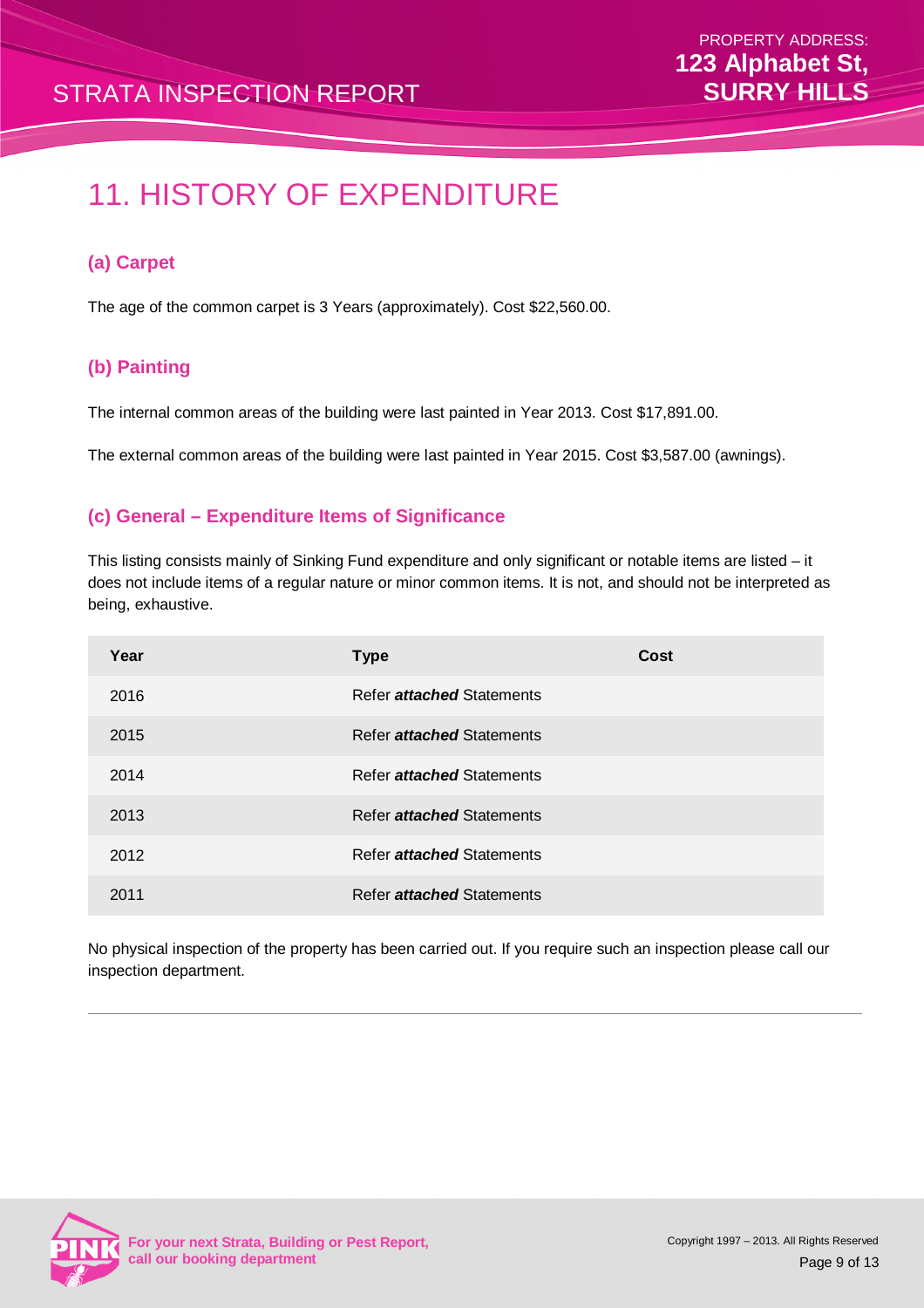# 11. HISTORY OF EXPENDITURE

#### **(a) Carpet**

The age of the common carpet is 3 Years (approximately). Cost \$22,560.00.

#### **(b) Painting**

The internal common areas of the building were last painted in Year 2013. Cost \$17,891.00.

The external common areas of the building were last painted in Year 2015. Cost \$3,587.00 (awnings).

#### **(c) General – Expenditure Items of Significance**

This listing consists mainly of Sinking Fund expenditure and only significant or notable items are listed – it does not include items of a regular nature or minor common items. It is not, and should not be interpreted as being, exhaustive.

| Year | <b>Type</b>                      | Cost |
|------|----------------------------------|------|
| 2016 | Refer <i>attached</i> Statements |      |
| 2015 | Refer <i>attached</i> Statements |      |
| 2014 | Refer <i>attached</i> Statements |      |
| 2013 | Refer <i>attached</i> Statements |      |
| 2012 | Refer <i>attached</i> Statements |      |
| 2011 | Refer attached Statements        |      |

No physical inspection of the property has been carried out. If you require such an inspection please call our inspection department.

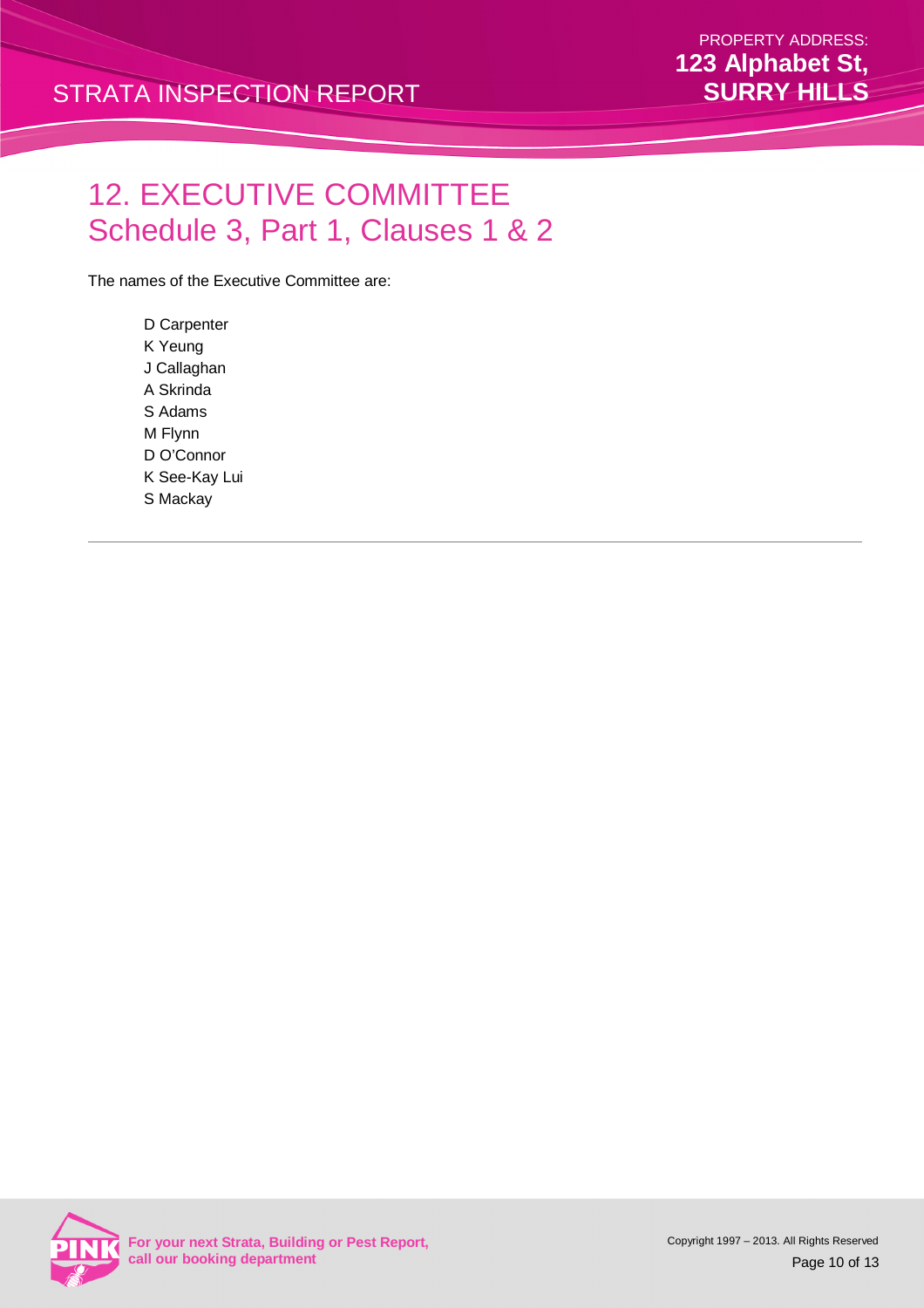# 12. EXECUTIVE COMMITTEE Schedule 3, Part 1, Clauses 1 & 2

The names of the Executive Committee are:

D Carpenter K Yeung J Callaghan A Skrinda S Adams M Flynn D O'Connor K See-Kay Lui S Mackay

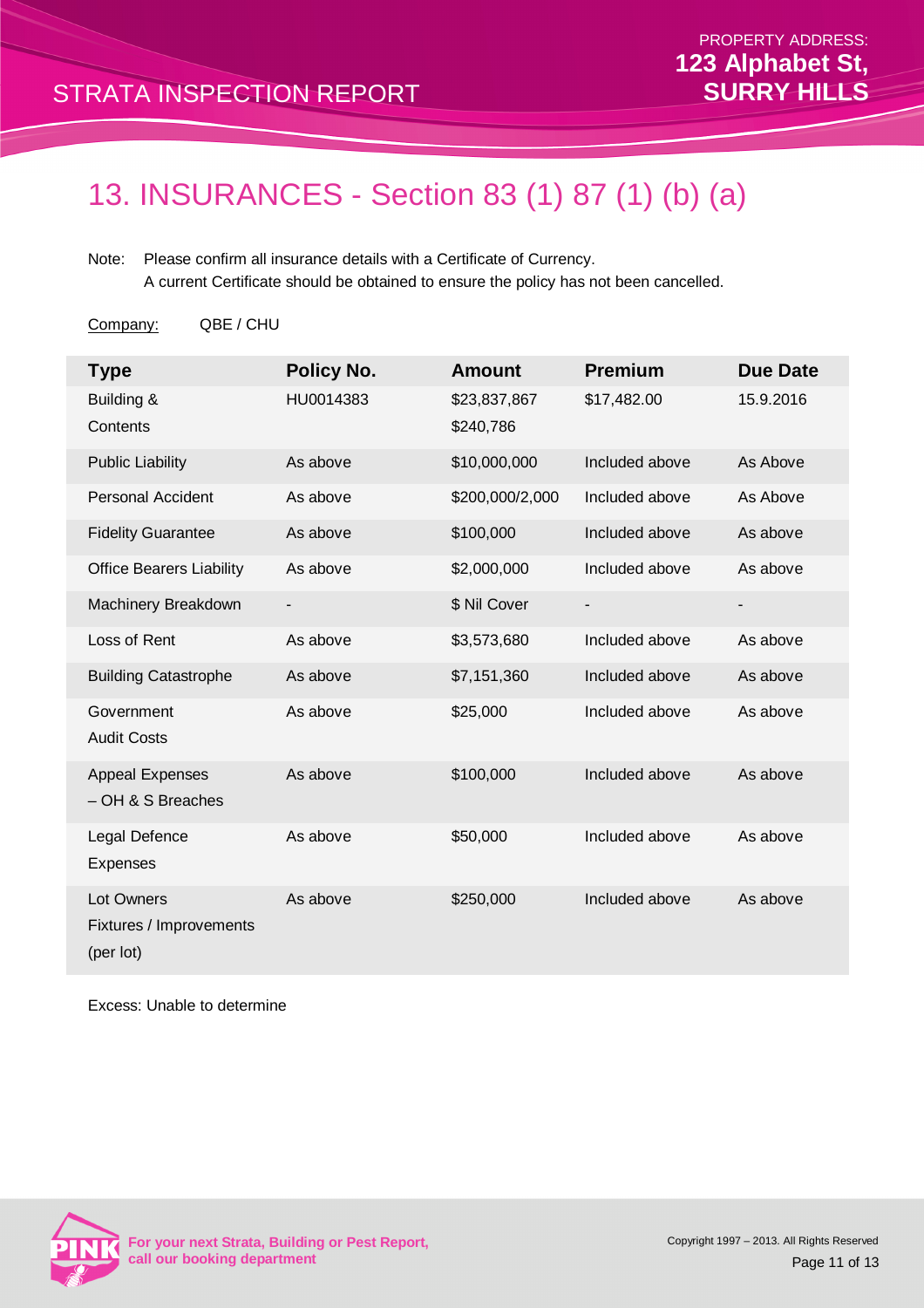# 13. INSURANCES - Section 83 (1) 87 (1) (b) (a)

Note: Please confirm all insurance details with a Certificate of Currency. A current Certificate should be obtained to ensure the policy has not been cancelled.

Company: QBE / CHU

| <b>Type</b>                                        | <b>Policy No.</b> | <b>Amount</b>             | <b>Premium</b> | <b>Due Date</b> |
|----------------------------------------------------|-------------------|---------------------------|----------------|-----------------|
| Building &<br>Contents                             | HU0014383         | \$23,837,867<br>\$240,786 | \$17,482.00    | 15.9.2016       |
| <b>Public Liability</b>                            | As above          | \$10,000,000              | Included above | As Above        |
| <b>Personal Accident</b>                           | As above          | \$200,000/2,000           | Included above | As Above        |
| <b>Fidelity Guarantee</b>                          | As above          | \$100,000                 | Included above | As above        |
| <b>Office Bearers Liability</b>                    | As above          | \$2,000,000               | Included above | As above        |
| Machinery Breakdown                                | ۰                 | \$ Nil Cover              |                | -               |
| Loss of Rent                                       | As above          | \$3,573,680               | Included above | As above        |
| <b>Building Catastrophe</b>                        | As above          | \$7,151,360               | Included above | As above        |
| Government<br><b>Audit Costs</b>                   | As above          | \$25,000                  | Included above | As above        |
| <b>Appeal Expenses</b><br>- OH & S Breaches        | As above          | \$100,000                 | Included above | As above        |
| Legal Defence<br><b>Expenses</b>                   | As above          | \$50,000                  | Included above | As above        |
| Lot Owners<br>Fixtures / Improvements<br>(per lot) | As above          | \$250,000                 | Included above | As above        |

Excess: Unable to determine

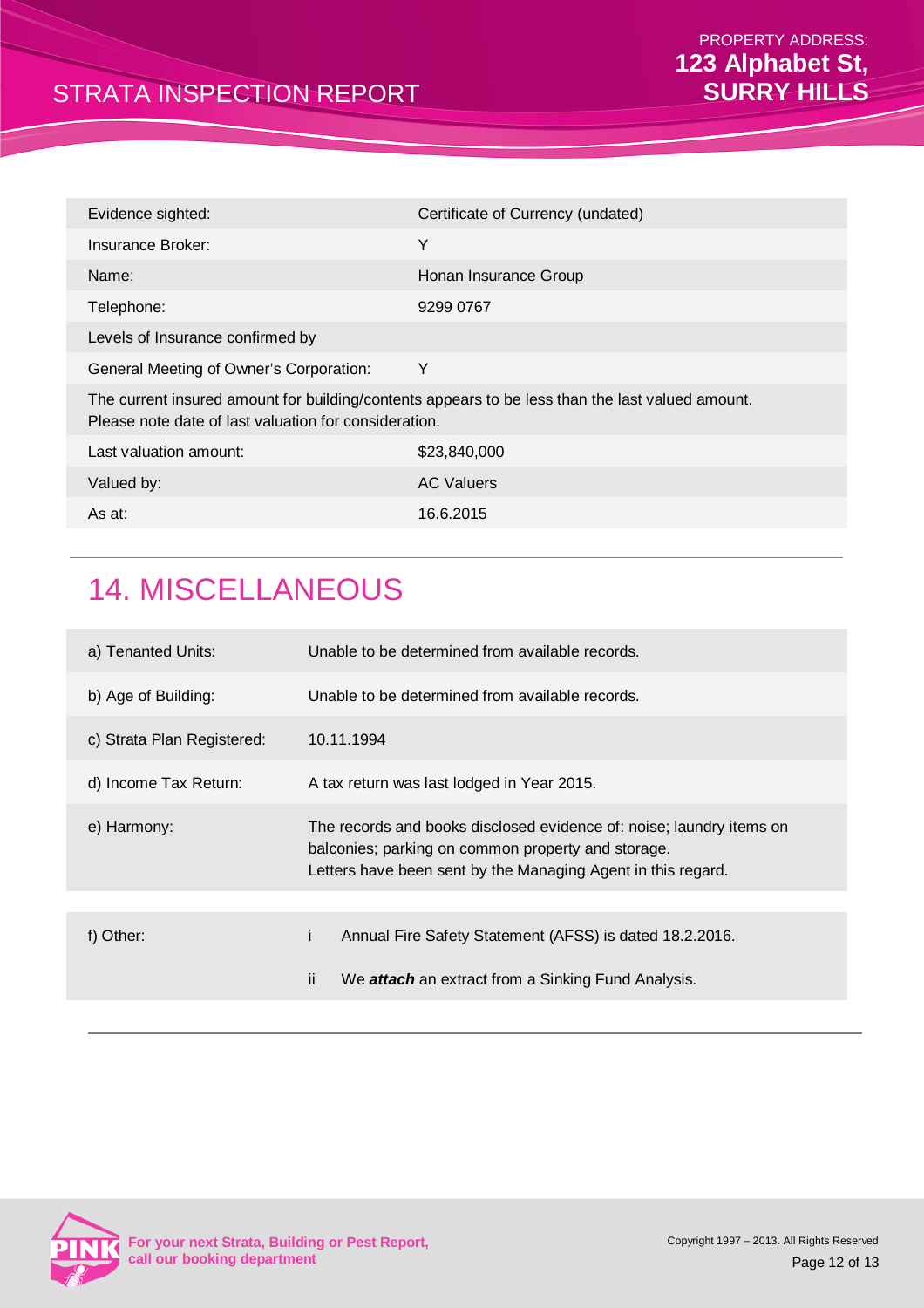| Evidence sighted:                                                                                                                                         | Certificate of Currency (undated) |
|-----------------------------------------------------------------------------------------------------------------------------------------------------------|-----------------------------------|
| Insurance Broker:                                                                                                                                         | Υ                                 |
| Name:                                                                                                                                                     | Honan Insurance Group             |
| Telephone:                                                                                                                                                | 9299 0767                         |
| Levels of Insurance confirmed by                                                                                                                          |                                   |
| General Meeting of Owner's Corporation:                                                                                                                   | Y                                 |
| The current insured amount for building/contents appears to be less than the last valued amount.<br>Please note date of last valuation for consideration. |                                   |
| Last valuation amount:                                                                                                                                    | \$23,840,000                      |
| Valued by:                                                                                                                                                | <b>AC Valuers</b>                 |
| As at:                                                                                                                                                    | 16.6.2015                         |
|                                                                                                                                                           |                                   |

# 14. MISCELLANEOUS

| a) Tenanted Units:         | Unable to be determined from available records.                                                                                                                                            |
|----------------------------|--------------------------------------------------------------------------------------------------------------------------------------------------------------------------------------------|
| b) Age of Building:        | Unable to be determined from available records.                                                                                                                                            |
| c) Strata Plan Registered: | 10.11.1994                                                                                                                                                                                 |
| d) Income Tax Return:      | A tax return was last lodged in Year 2015.                                                                                                                                                 |
| e) Harmony:                | The records and books disclosed evidence of: noise; laundry items on<br>balconies; parking on common property and storage.<br>Letters have been sent by the Managing Agent in this regard. |
|                            |                                                                                                                                                                                            |
| f) Other:                  | Annual Fire Safety Statement (AFSS) is dated 18.2.2016.                                                                                                                                    |
|                            | ij.<br>We <i>attach</i> an extract from a Sinking Fund Analysis.                                                                                                                           |
|                            |                                                                                                                                                                                            |